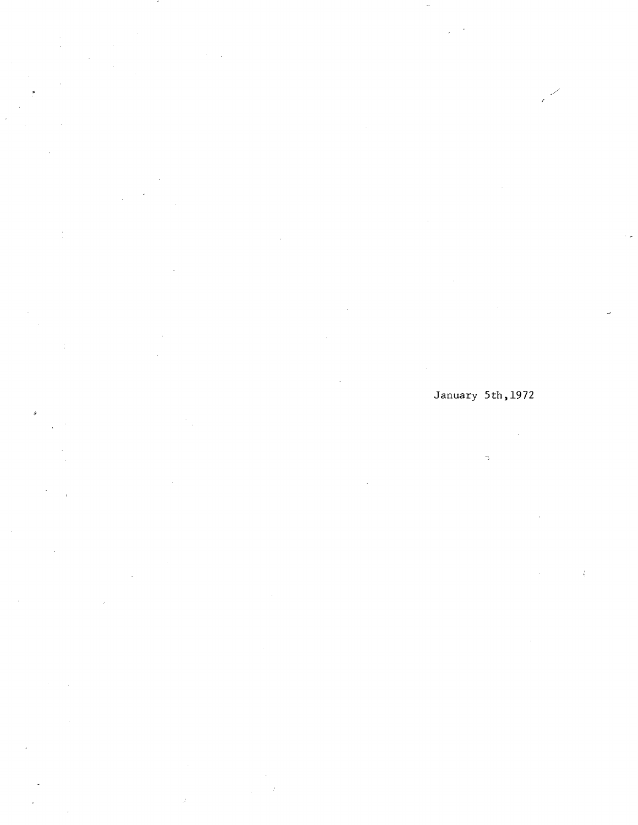$\frac{1}{\alpha}$ 

À

January 5th,1972

 $\lambda$ 

# $\bar{\mathcal{L}}$  $\overline{\mathbb{R}}$

 $\vec{t}$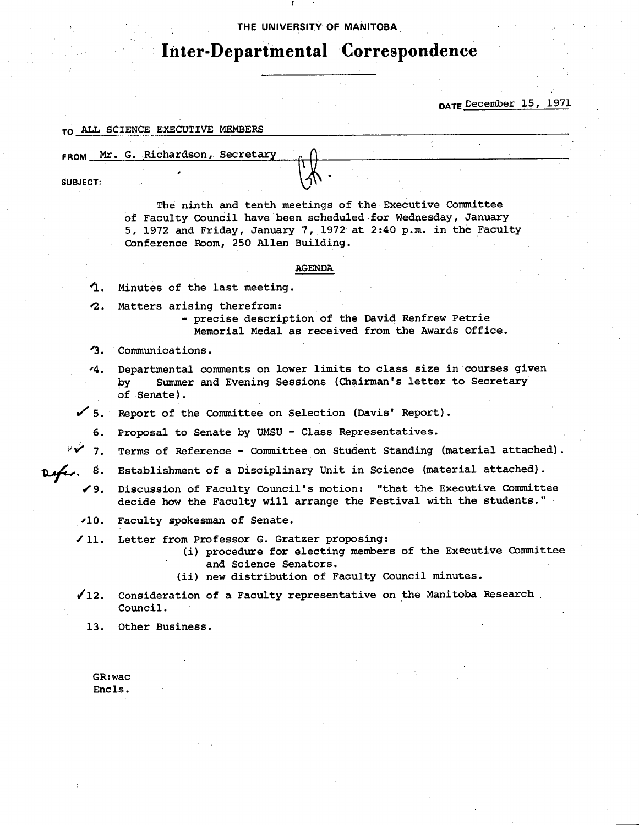### THE UNIVERSITY **OF MANITOBA**

# **Inter-Departmental Correspondence**

DATE December 15, 1971

# TO ALL SCIENCE EXECUTIVE MEMBERS

**FROM** Mr. G. Richardson, Secretar

**SUBJECT:** 

The ninth and tenth meetings of the Executive Committee of Faculty Council have been scheduled for Wednesday, January 5, 1972 and Friday, January 7,1972 at 2:40 p.m. in the Faculty Conference Room, 250 Allen Building.

### AGENDA

'1. Minutes of the last meeting.

?2. Matters arising therefrom:

- precise description of the David Renfrew Petrie Memorial Medal as received from the Awards Office.

- '3. Communications.
- 4. Departmental comments on lower limits to class size in courses given by Summer and Evening Sessions (Chairman's letter to Secretary of Senate).
- $\checkmark$  5. Report of the Committee on Selection (Davis' Report).
	- 6. Proposal to Senate by UMSU Class Representatives.
- 7. Terms of Reference Committee on Student Standing (material attached).
- 8. Establishment of a Disciplinary Unit in Science (material attached).
	- 19. Discussion of Faculty Council's motion: "that the Executive Committee decide how the Faculty will arrange the Festival with the students."
	- 110. Faculty spokesman of Senate.
	- /11. Letter from Professor G. Gratzer proposing:
		- procedure for electing members of the Executive Committee and Science Senators.
		- (ii) new distribution of Faculty Council minutes.
	- /12. Consideration of a Faculty representative on the Manitoba Research Council.
		- 13. Other Business.

GR:wac Encls.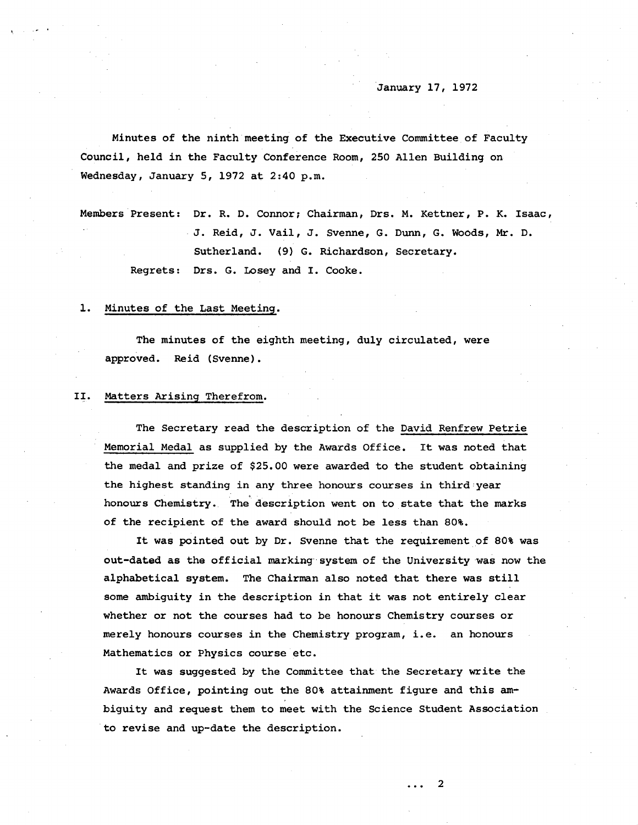Minutes of the *ninth* meeting of the Executive Committee of Faculty Council, held in the Faculty Conference Room, 250 Allen Building on Wednesday, January 5, 1972 at 2:40 p.m.

Members Present: Dr. R. D. Connor; Chairman, Drs. M. Kettner, P. K. Isaac, J. Reid, J. Vail, J. Svenne, G. Dunn, G. Woods, Mr. D. Sutherland. (9) G. Richardson, Secretary. Regrets: Drs. G. Losey and I. Cooke.

### 1. Minutes of the Last Meeting.

The minutes of the eighth meeting, duly circulated, were approved. Reid (Svenne).

### II. Matters Arising Therefrom.

The Secretary read the description of the David Renfrew Petrie Memorial Medal as supplied by the Awards Office. It was noted that the medal and prize of \$25.00 were awarded to the student obtaining the highest standing in any three honours courses in third year honours Chemistry. The description went on to state that the marks of the recipient of the award should not be less than 80%.

It was pointed out by Dr. Svenne that the requirement of 80% was out-dated as the official marking system of the University was now the alphabetical system. The Chairman also noted that there was still some ambiguity in the description in that it was not entirely clear whether or not the courses had to be honours Chemistry courses or merely honours courses in the Chemistry program, i.e. an honours Mathematics or Physics course etc.

It was suggested by the Committee that the Secretary write the Awards Office, pointing out the 80% attainment figure and this ambiguity and request them to meet with the Science Student Association to revise and up-date the description.

2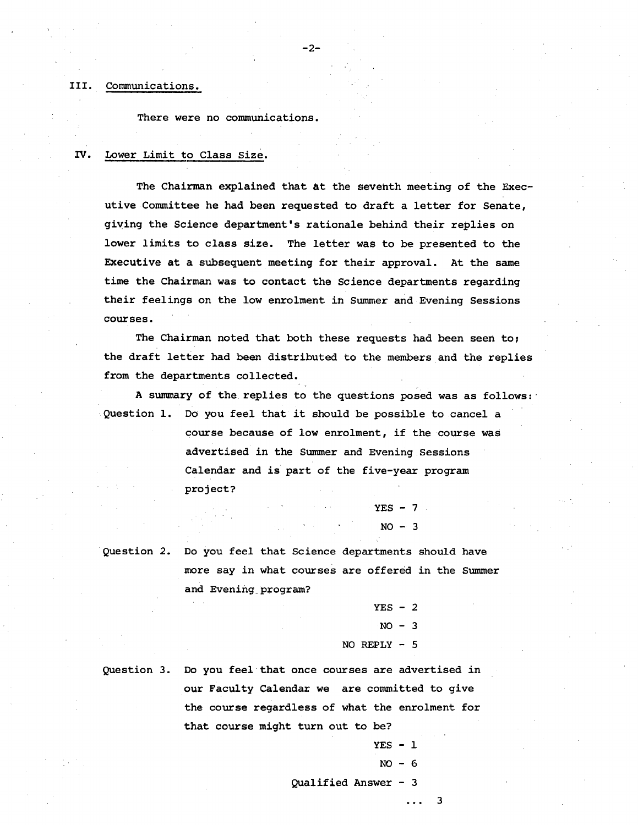## 111. Communications.

There were no communications.

### IV. Lower Limit to Class Size.

The Chairman explained that at the seventh meeting of the Executive Committee he had been requested to draft a letter for Senate, giving the Science department's rationale behind their replies on lower limits to class size. The letter was to be presented to the Executive at a subsequent meeting for their approval. At the same time the Chairman was to contact the Science departments regarding their feelings on the low enrolment in Summer and Evening Sessions courses.

-2-

The Chairman noted that both these requests had been seen to; the draft letter had been distributed to the members and the replies from the departments collected.

A summary of the replies to the questions posed was as follows: Question 1. Do you feel that it should be possible to cancel a

> course because of low enrolment, if the course was advertised in the Summer and Evening Sessions Calendar and is part of the five-year program project?

> > $YES - 7$  $NO - 3$

Question 2. Do you feel that Science departments should have more say in what courses are offered in the Summer and Evening program?

$$
YES - 2
$$
  
NO - 3  
NO REPLY - 5

Question 3. Do you feel that once courses are advertised in our Faculty Calendar we are committed to give the course regardless of what the enrolment for

that course might turn out to be?  $VFC = 1$ 

$$
\mathcal{L}_{\mathcal{A}} = \mathcal{L}_{\mathcal{A}}
$$

$$
NO - 6
$$

Qualified Answer - 3

3  $\overline{1}$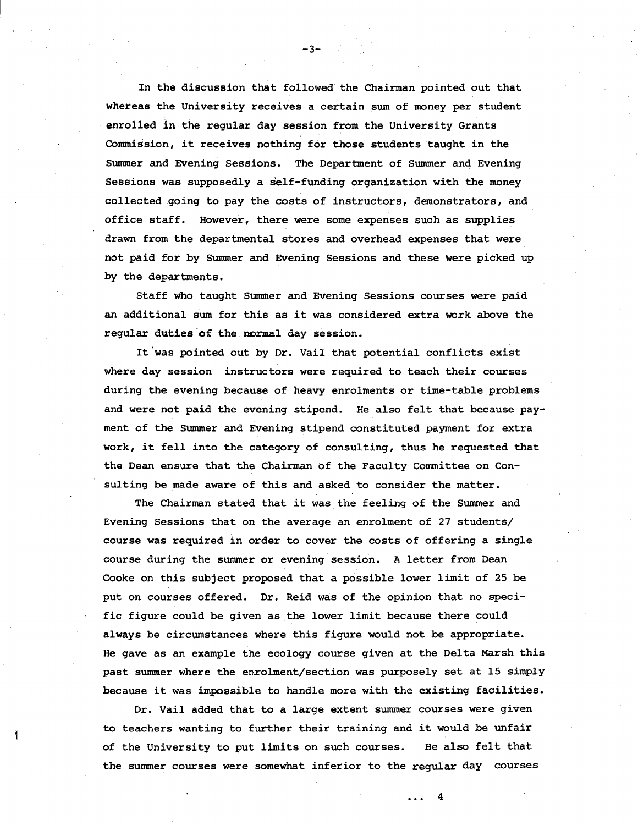In the discussion that followed the Chairman pointed out that whereas the University receives a certain sum of money per student enrolled in the regular day session from the University Grants Commission, it receives nothing for those students taught in the Summer and Evening Sessions. The Department of Summer and Evening Sessions was supposedly a self-funding organization with the money collected going to pay the costs of instructors, demonstrators, and office staff. However, there were some expenses such as supplies drawn from the departmental stores and overhead expenses that were not paid for by Summer and Evening Sessions and these were picked up by the departments.

Staff who taught Summer and Evening Sessions courses were paid an additional sum for this as it was considered extra work above the regular duties of the normal day session.

It was pointed out by Dr. Vail that potential conflicts exist where day session instructors were required to teach their courses during the evening because of heavy enrolments or time-table problems and were not paid the evening stipend. He also felt that because payment of the Summer and Evening stipend constituted payment for extra work, it fell into the category of consulting, thus he requested that the Dean ensure that the Chairman of the Faculty Committee on Consulting be made aware of this and asked to consider the matter.

The Chairman stated that it was the feeling of the Summer and Evening Sessions that on the average an enrolment of 27 students/ course was required in order to cover the costs of offering a single course during the summer or evening session. A letter from Dean Cooke on this subject proposed that a possible lower limit of 25 be put on courses offered. Dr. Reid was of the opinion that no specific figure could be given as the lower limit because there could always be circumstances where this figure would not be appropriate. He gave as an example the ecology course given at the Delta Marsh this past summer where the enrolment/section was purposely set at 15 simply because it was impossible to handle more with the existing facilities.

Dr. Vail added that to a large extent summer courses were given to teachers wanting to further their training and it would be unfair of the University to put limits on such courses. He also felt that the summer courses were somewhat inferior to the regular day courses

4

-3-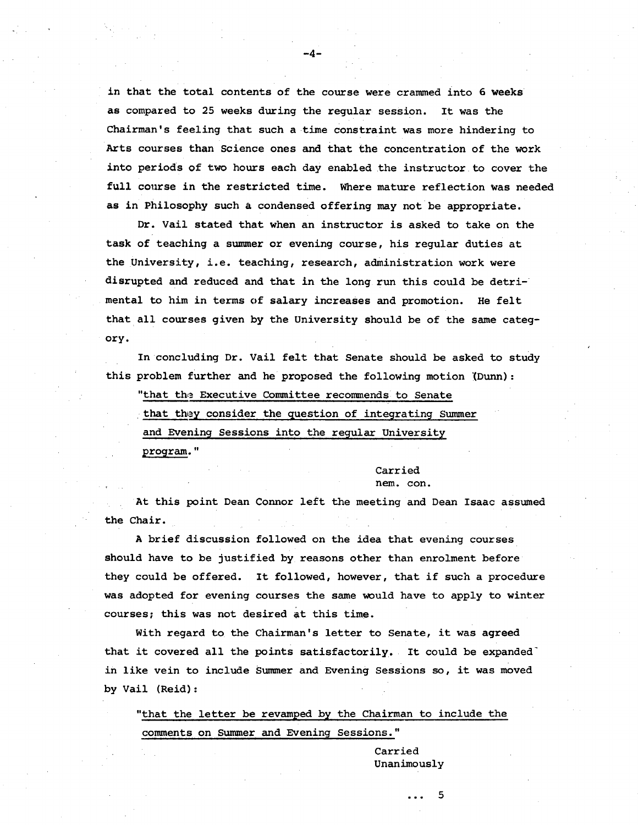in that the total contents of the course were crammed into 6 weeks as compared to 25 weeks during the regular session. It was the Chairman's feeling that such a time constraint was more hindering to Arts courses than Science ones and that the concentration of the work into periods of two hours each day enabled the instructor to cover the full course in the restricted time. Where mature reflection was needed as in Philosophy such a condensed offering may not be appropriate.

-4-

Dr. Vail stated that when an instructor is asked to take on the task of teaching a summer or evening course, his regular duties at the University, i.e. teaching, research, administration work were disrupted and reduced and that in the long run this could be detrimental to him in terms of salary increases and promotion. He felt that all courses given by the University should be of the same category.

In concluding Dr. Vail felt that Senate should be asked to study this problem further and he proposed the following motion (Dunn):

"that the Executive Committee recommends to Senate that they consider the question of integrating Summer and Evening Sessions into the regular University program."

> Carried nem. con.

At this point Dean Connor left the meeting and Dean Isaac assumed the Chair.

A brief discussion followed on the idea that evening courses should have to be justified by reasons other than enrolment before they could be offered. It followed, however, that if such a procedure was adopted for evening courses the same would have to apply to winter courses; this was not desired at this time.

With regard to the Chairman's letter to Senate, it was agreed that it covered all the points satisfactorily. It could be expanded' in like vein to include Summer and Evening Sessions so, it was moved by Vail (Reid):

"that the letter be revamped by the Chairman to include the comments on Summer and Evening Sessions."

> Carried Unanimously

> > 5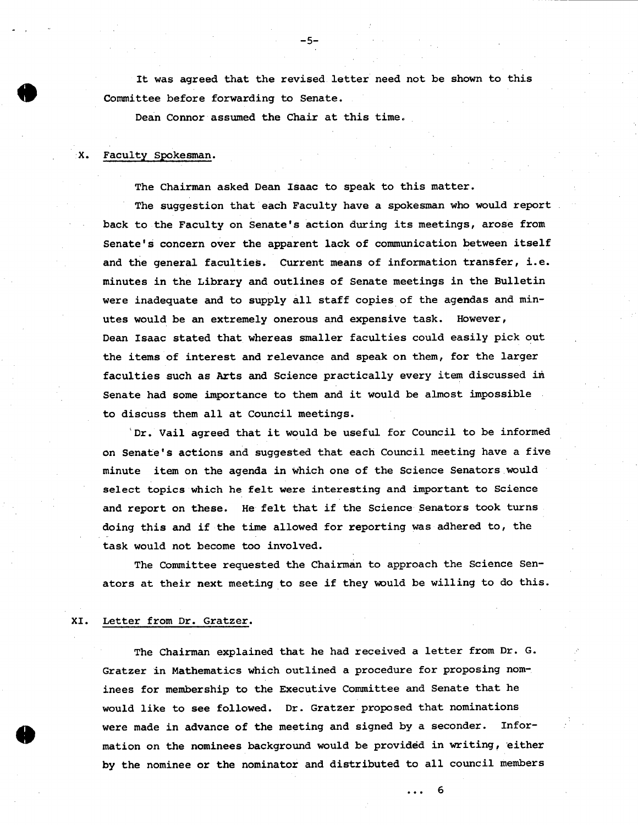It was agreed that the revised letter need not be shown to this Committee before forwarding to Senate.

-5-

Dean Connor assumed the Chair at this time.

### Faculty Spokesman. x.

The Chairman asked Dean Isaac to speak to this matter.

The suggestion that each Faculty have a spokesman who would report back to the Faculty on Senate's action during its meetings, arose from Senate's concern over the apparent lack of communication between itself and the general faculties. Current means of information transfer, i.e. minutes in the Library and outlines of Senate meetings in the Bulletin were inadequate and to supply all staff copies of the agendas and minutes would be an extremely onerous and expensive task. However, Dean Isaac stated that whereas smaller faculties could easily pick out the items of interest and relevance and speak on them, for the larger faculties such as Arts and Science practically every item discussed in Senate had some importance to them and it would be almost impossible to discuss them all at Council meetings.

 $D$ r. Vail agreed that it would be useful for Council to be informed on Senate's actions and suggested that each Council meeting have a five minute item on the agenda in which one of the Science Senators would select topics which he felt were interesting and important to Science and report on these. He felt that if the Science Senators took turns doing this and if the time allowed for reporting was adhered to, the task would not become too involved.

The Committee requested the Chairman to approach the Science Senators at their next meeting to see if they would be willing to do this.

### Letter from Dr. Gratzer. XI.

The Chairman explained that he had received a letter from Dr. G. Gratzer in Mathematics which outlined a procedure for proposing nominees for membership to the Executive Committee and Senate that he would like to **see** followed. Dr. Gratzer proposed that nominations were made in advance of the meeting and signed by a seconder. Information on the nominees background would be provided in writing, either by the nominee or the nominator and distributed to all council members

. . . 6